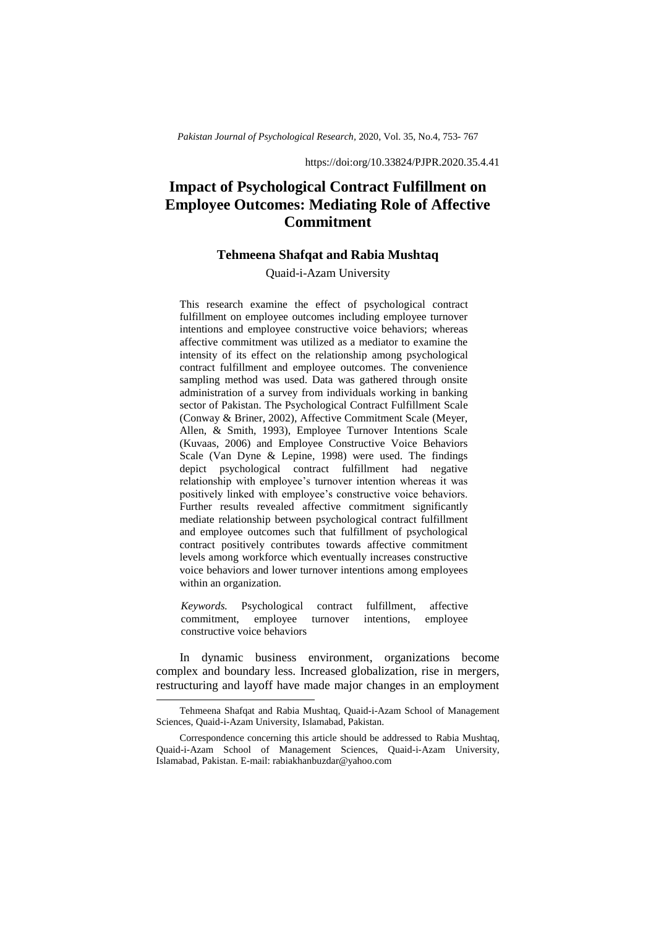*Pakistan Journal of Psychological Research,* 2020, Vol. 35, No.4, 753- 767

https://doi:org/10.33824/PJPR.2020.35.4.41

# **Impact of Psychological Contract Fulfillment on Employee Outcomes: Mediating Role of Affective Commitment**

# **Tehmeena Shafqat and Rabia Mushtaq**

Quaid-i-Azam University

This research examine the effect of psychological contract fulfillment on employee outcomes including employee turnover intentions and employee constructive voice behaviors; whereas affective commitment was utilized as a mediator to examine the intensity of its effect on the relationship among psychological contract fulfillment and employee outcomes. The convenience sampling method was used. Data was gathered through onsite administration of a survey from individuals working in banking sector of Pakistan. The Psychological Contract Fulfillment Scale (Conway & Briner, 2002), Affective Commitment Scale (Meyer, Allen, & Smith, 1993), Employee Turnover Intentions Scale (Kuvaas, 2006) and Employee Constructive Voice Behaviors Scale (Van Dyne & Lepine, 1998) were used. The findings depict psychological contract fulfillment had negative relationship with employee's turnover intention whereas it was positively linked with employee's constructive voice behaviors. Further results revealed affective commitment significantly mediate relationship between psychological contract fulfillment and employee outcomes such that fulfillment of psychological contract positively contributes towards affective commitment levels among workforce which eventually increases constructive voice behaviors and lower turnover intentions among employees within an organization.

*Keywords.* Psychological contract fulfillment, affective commitment, employee turnover intentions, employee constructive voice behaviors

In dynamic business environment, organizations become complex and boundary less. Increased globalization, rise in mergers, restructuring and layoff have made major changes in an employment

1

Tehmeena Shafqat and Rabia Mushtaq, Quaid-i-Azam School of Management Sciences, Quaid-i-Azam University, Islamabad, Pakistan.

Correspondence concerning this article should be addressed to Rabia Mushtaq, Quaid-i-Azam School of Management Sciences, Quaid-i-Azam University, Islamabad, Pakistan. E-mail: rabiakhanbuzdar@yahoo.com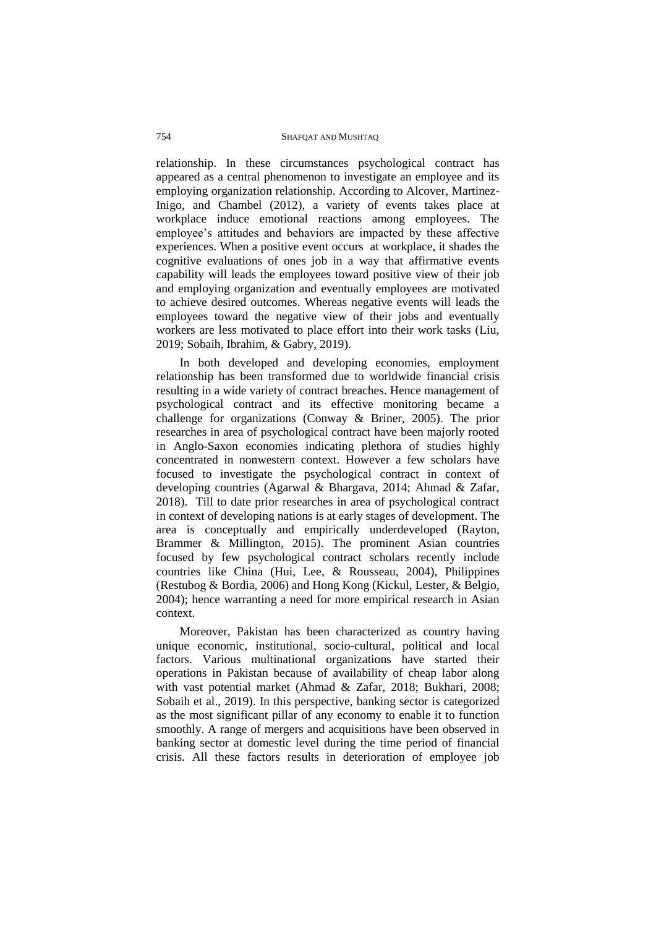relationship. In these circumstances psychological contract has appeared as a central phenomenon to investigate an employee and its employing organization relationship. According to Alcover, Martinez-Inigo, and Chambel (2012), a variety of events takes place at workplace induce emotional reactions among employees. The employee's attitudes and behaviors are impacted by these affective experiences. When a positive event occurs at workplace, it shades the cognitive evaluations of ones job in a way that affirmative events capability will leads the employees toward positive view of their job and employing organization and eventually employees are motivated to achieve desired outcomes. Whereas negative events will leads the employees toward the negative view of their jobs and eventually workers are less motivated to place effort into their work tasks (Liu, 2019; Sobaih, Ibrahim, & Gabry, 2019).

In both developed and developing economies, employment relationship has been transformed due to worldwide financial crisis resulting in a wide variety of contract breaches. Hence management of psychological contract and its effective monitoring became a challenge for organizations (Conway & Briner, 2005). The prior researches in area of psychological contract have been majorly rooted in Anglo-Saxon economies indicating plethora of studies highly concentrated in nonwestern context. However a few scholars have focused to investigate the psychological contract in context of developing countries (Agarwal & Bhargava, 2014; Ahmad & Zafar, 2018). Till to date prior researches in area of psychological contract in context of developing nations is at early stages of development. The area is conceptually and empirically underdeveloped (Rayton, Brammer & Millington, 2015). The prominent Asian countries focused by few psychological contract scholars recently include countries like China (Hui, Lee, & Rousseau, 2004), Philippines (Restubog & Bordia, 2006) and Hong Kong (Kickul, Lester, & Belgio, 2004); hence warranting a need for more empirical research in Asian context.

Moreover, Pakistan has been characterized as country having unique economic, institutional, socio-cultural, political and local factors. Various multinational organizations have started their operations in Pakistan because of availability of cheap labor along with vast potential market (Ahmad & Zafar, 2018; Bukhari, 2008; Sobaih et al., 2019). In this perspective, banking sector is categorized as the most significant pillar of any economy to enable it to function smoothly. A range of mergers and acquisitions have been observed in banking sector at domestic level during the time period of financial crisis. All these factors results in deterioration of employee job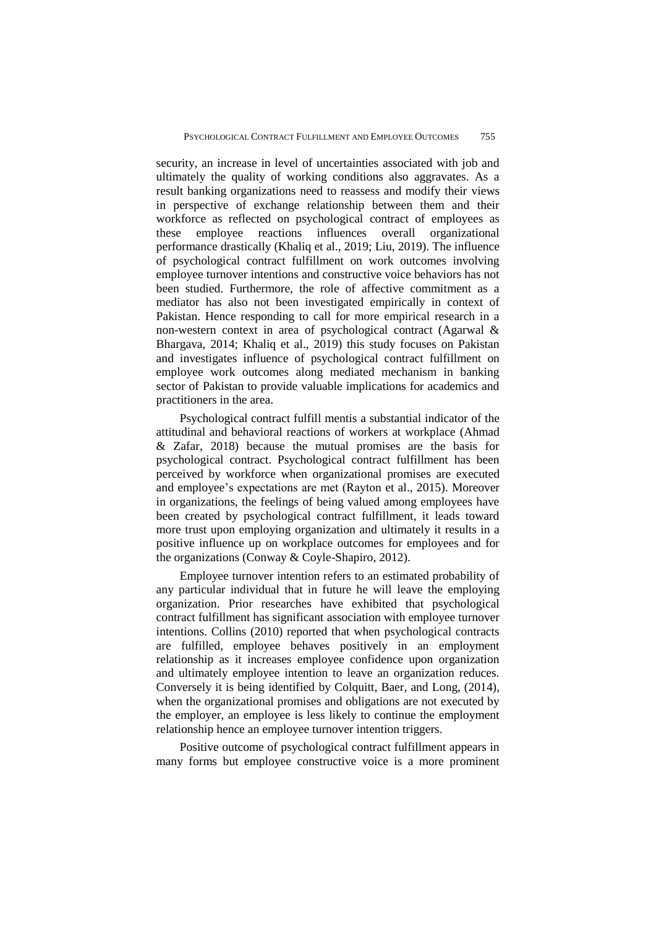security, an increase in level of uncertainties associated with job and ultimately the quality of working conditions also aggravates. As a result banking organizations need to reassess and modify their views in perspective of exchange relationship between them and their workforce as reflected on psychological contract of employees as these employee reactions influences overall organizational performance drastically (Khaliq et al., 2019; Liu, 2019). The influence of psychological contract fulfillment on work outcomes involving employee turnover intentions and constructive voice behaviors has not been studied. Furthermore, the role of affective commitment as a mediator has also not been investigated empirically in context of Pakistan. Hence responding to call for more empirical research in a non-western context in area of psychological contract (Agarwal & Bhargava, 2014; Khaliq et al., 2019) this study focuses on Pakistan and investigates influence of psychological contract fulfillment on employee work outcomes along mediated mechanism in banking sector of Pakistan to provide valuable implications for academics and practitioners in the area.

Psychological contract fulfill mentis a substantial indicator of the attitudinal and behavioral reactions of workers at workplace (Ahmad & Zafar, 2018) because the mutual promises are the basis for psychological contract. Psychological contract fulfillment has been perceived by workforce when organizational promises are executed and employee's expectations are met (Rayton et al., 2015). Moreover in organizations, the feelings of being valued among employees have been created by psychological contract fulfillment, it leads toward more trust upon employing organization and ultimately it results in a positive influence up on workplace outcomes for employees and for the organizations (Conway & Coyle-Shapiro, 2012).

Employee turnover intention refers to an estimated probability of any particular individual that in future he will leave the employing organization. Prior researches have exhibited that psychological contract fulfillment has significant association with employee turnover intentions. Collins (2010) reported that when psychological contracts are fulfilled, employee behaves positively in an employment relationship as it increases employee confidence upon organization and ultimately employee intention to leave an organization reduces. Conversely it is being identified by Colquitt, Baer, and Long, (2014), when the organizational promises and obligations are not executed by the employer, an employee is less likely to continue the employment relationship hence an employee turnover intention triggers.

Positive outcome of psychological contract fulfillment appears in many forms but employee constructive voice is a more prominent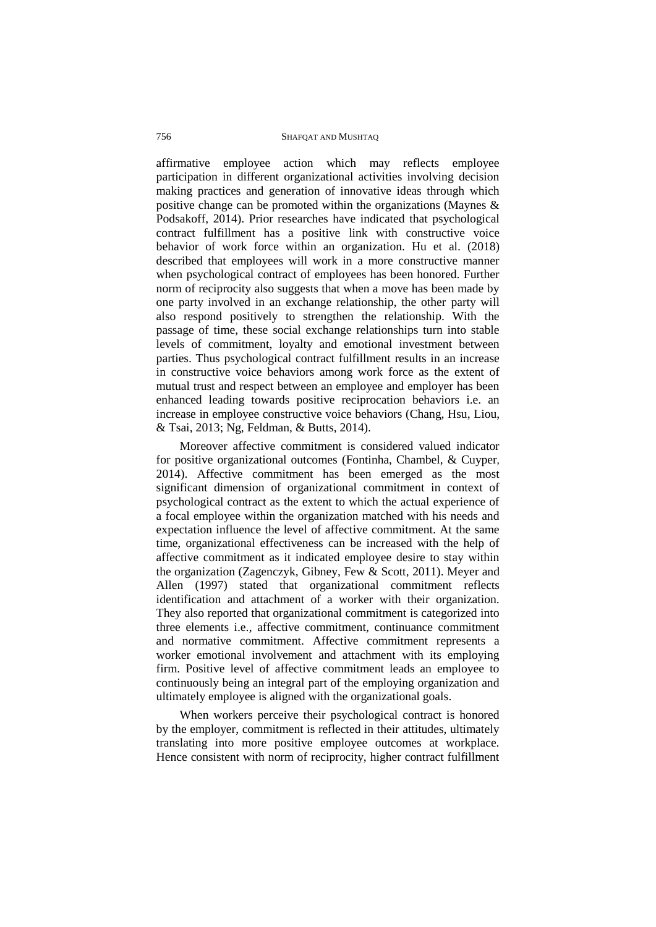affirmative employee action which may reflects employee participation in different organizational activities involving decision making practices and generation of innovative ideas through which positive change can be promoted within the organizations (Maynes & Podsakoff, 2014). Prior researches have indicated that psychological contract fulfillment has a positive link with constructive voice behavior of work force within an organization. Hu et al. (2018) described that employees will work in a more constructive manner when psychological contract of employees has been honored. Further norm of reciprocity also suggests that when a move has been made by one party involved in an exchange relationship, the other party will also respond positively to strengthen the relationship. With the passage of time, these social exchange relationships turn into stable levels of commitment, loyalty and emotional investment between parties. Thus psychological contract fulfillment results in an increase in constructive voice behaviors among work force as the extent of mutual trust and respect between an employee and employer has been enhanced leading towards positive reciprocation behaviors i.e. an increase in employee constructive voice behaviors (Chang, Hsu, Liou, & Tsai, 2013; Ng, Feldman, & Butts, 2014).

Moreover affective commitment is considered valued indicator for positive organizational outcomes (Fontinha, Chambel, & Cuyper, 2014). Affective commitment has been emerged as the most significant dimension of organizational commitment in context of psychological contract as the extent to which the actual experience of a focal employee within the organization matched with his needs and expectation influence the level of affective commitment. At the same time, organizational effectiveness can be increased with the help of affective commitment as it indicated employee desire to stay within the organization (Zagenczyk, Gibney, Few & Scott, 2011). Meyer and Allen (1997) stated that organizational commitment reflects identification and attachment of a worker with their organization. They also reported that organizational commitment is categorized into three elements i.e., affective commitment, continuance commitment and normative commitment. Affective commitment represents a worker emotional involvement and attachment with its employing firm. Positive level of affective commitment leads an employee to continuously being an integral part of the employing organization and ultimately employee is aligned with the organizational goals.

When workers perceive their psychological contract is honored by the employer, commitment is reflected in their attitudes, ultimately translating into more positive employee outcomes at workplace. Hence consistent with norm of reciprocity, higher contract fulfillment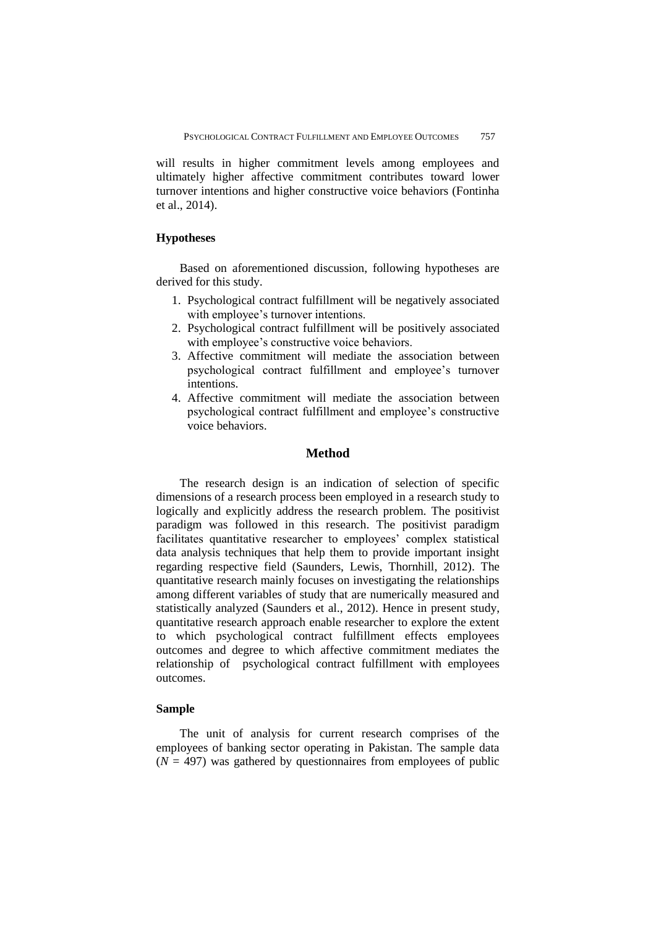will results in higher commitment levels among employees and ultimately higher affective commitment contributes toward lower turnover intentions and higher constructive voice behaviors (Fontinha et al., 2014).

# **Hypotheses**

Based on aforementioned discussion, following hypotheses are derived for this study.

- 1. Psychological contract fulfillment will be negatively associated with employee's turnover intentions.
- 2. Psychological contract fulfillment will be positively associated with employee's constructive voice behaviors.
- 3. Affective commitment will mediate the association between psychological contract fulfillment and employee's turnover intentions.
- 4. Affective commitment will mediate the association between psychological contract fulfillment and employee's constructive voice behaviors.

# **Method**

The research design is an indication of selection of specific dimensions of a research process been employed in a research study to logically and explicitly address the research problem. The positivist paradigm was followed in this research. The positivist paradigm facilitates quantitative researcher to employees' complex statistical data analysis techniques that help them to provide important insight regarding respective field (Saunders, Lewis, Thornhill, 2012). The quantitative research mainly focuses on investigating the relationships among different variables of study that are numerically measured and statistically analyzed (Saunders et al., 2012). Hence in present study, quantitative research approach enable researcher to explore the extent to which psychological contract fulfillment effects employees outcomes and degree to which affective commitment mediates the relationship of psychological contract fulfillment with employees outcomes.

### **Sample**

The unit of analysis for current research comprises of the employees of banking sector operating in Pakistan. The sample data  $(N = 497)$  was gathered by questionnaires from employees of public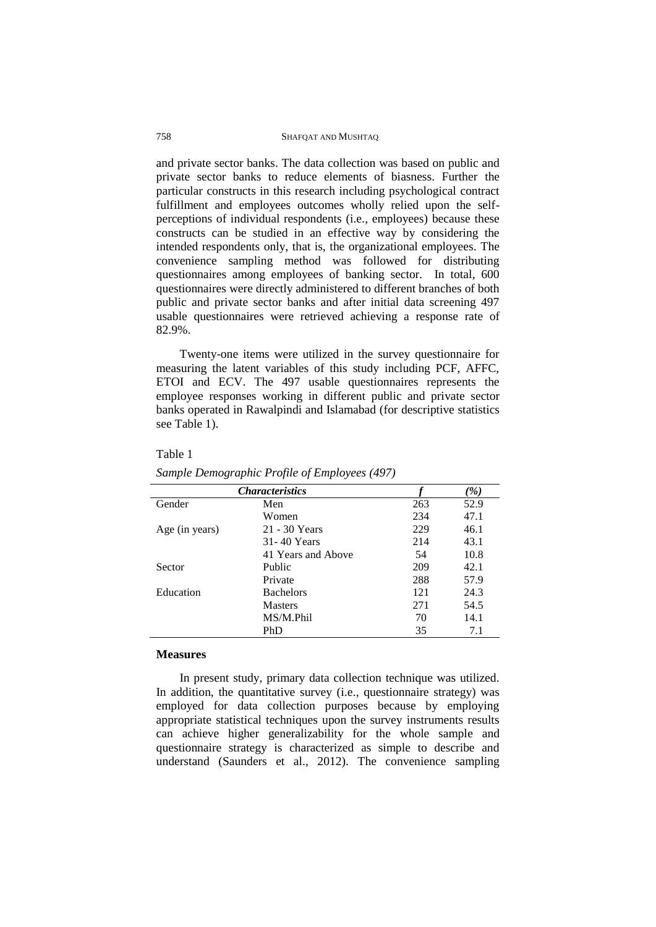and private sector banks. The data collection was based on public and private sector banks to reduce elements of biasness. Further the particular constructs in this research including psychological contract fulfillment and employees outcomes wholly relied upon the selfperceptions of individual respondents (i.e., employees) because these constructs can be studied in an effective way by considering the intended respondents only, that is, the organizational employees. The convenience sampling method was followed for distributing questionnaires among employees of banking sector. In total, 600 questionnaires were directly administered to different branches of both public and private sector banks and after initial data screening 497 usable questionnaires were retrieved achieving a response rate of 82.9%.

Twenty-one items were utilized in the survey questionnaire for measuring the latent variables of this study including PCF, AFFC, ETOI and ECV. The 497 usable questionnaires represents the employee responses working in different public and private sector banks operated in Rawalpindi and Islamabad (for descriptive statistics see Table 1).

| anle |  |
|------|--|
|      |  |

|                |                    | $\frac{\%}{\%}$ |      |
|----------------|--------------------|-----------------|------|
| Gender         | Men                | 263             | 52.9 |
|                | Women              | 234             | 47.1 |
| Age (in years) | 21 - 30 Years      | 229             | 46.1 |
|                | 31 - 40 Years      | 214             | 43.1 |
|                | 41 Years and Above | 54              | 10.8 |
| Sector         | Public             | 209             | 42.1 |
|                | Private            | 288             | 57.9 |
| Education      | <b>Bachelors</b>   | 121             | 24.3 |
|                | <b>Masters</b>     | 271             | 54.5 |
|                | MS/M.Phil          | 70              | 14.1 |
|                | PhD                | 35              | 7.1  |

# *Sample Demographic Profile of Employees (497)*

#### **Measures**

In present study, primary data collection technique was utilized. In addition, the quantitative survey (i.e., questionnaire strategy) was employed for data collection purposes because by employing appropriate statistical techniques upon the survey instruments results can achieve higher generalizability for the whole sample and questionnaire strategy is characterized as simple to describe and understand (Saunders et al., 2012). The convenience sampling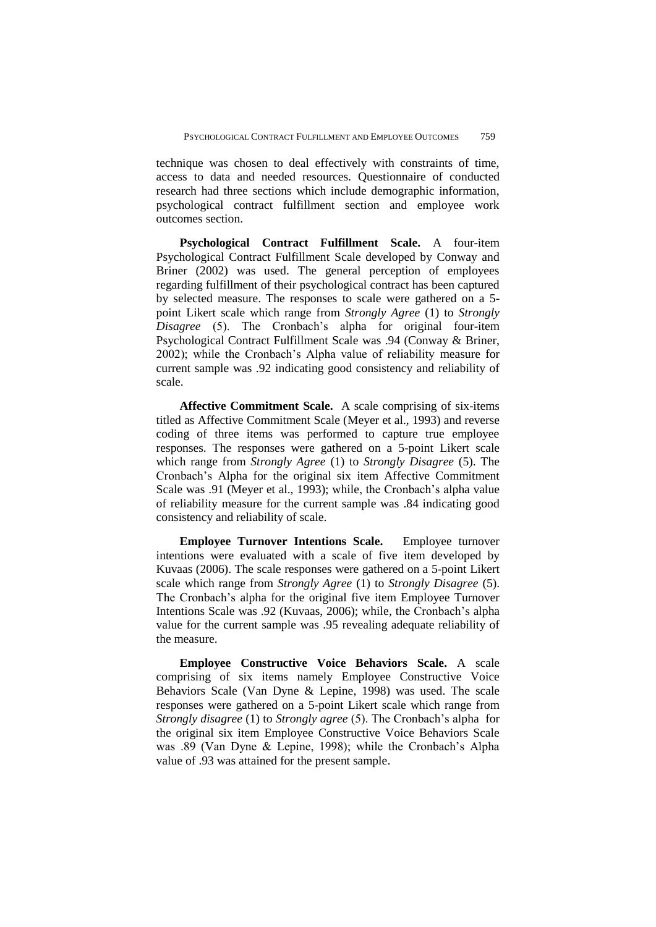technique was chosen to deal effectively with constraints of time, access to data and needed resources. Questionnaire of conducted research had three sections which include demographic information, psychological contract fulfillment section and employee work outcomes section.

**Psychological Contract Fulfillment Scale.** A four-item Psychological Contract Fulfillment Scale developed by Conway and Briner (2002) was used. The general perception of employees regarding fulfillment of their psychological contract has been captured by selected measure. The responses to scale were gathered on a 5 point Likert scale which range from *Strongly Agree* (1) to *Strongly Disagree* (5). The Cronbach's alpha for original four-item Psychological Contract Fulfillment Scale was .94 (Conway & Briner, 2002); while the Cronbach's Alpha value of reliability measure for current sample was .92 indicating good consistency and reliability of scale.

**Affective Commitment Scale.** A scale comprising of six-items titled as Affective Commitment Scale (Meyer et al., 1993) and reverse coding of three items was performed to capture true employee responses. The responses were gathered on a 5-point Likert scale which range from *Strongly Agree* (1) to *Strongly Disagree* (5). The Cronbach's Alpha for the original six item Affective Commitment Scale was .91 (Meyer et al., 1993); while, the Cronbach's alpha value of reliability measure for the current sample was .84 indicating good consistency and reliability of scale.

**Employee Turnover Intentions Scale.** Employee turnover intentions were evaluated with a scale of five item developed by Kuvaas (2006). The scale responses were gathered on a 5-point Likert scale which range from *Strongly Agree* (1) to *Strongly Disagree* (5). The Cronbach's alpha for the original five item Employee Turnover Intentions Scale was .92 (Kuvaas, 2006); while, the Cronbach's alpha value for the current sample was .95 revealing adequate reliability of the measure.

**Employee Constructive Voice Behaviors Scale.** A scale comprising of six items namely Employee Constructive Voice Behaviors Scale (Van Dyne & Lepine, 1998) was used. The scale responses were gathered on a 5-point Likert scale which range from *Strongly disagree* (1) to *Strongly agree* (5). The Cronbach's alpha for the original six item Employee Constructive Voice Behaviors Scale was .89 (Van Dyne & Lepine, 1998); while the Cronbach's Alpha value of .93 was attained for the present sample.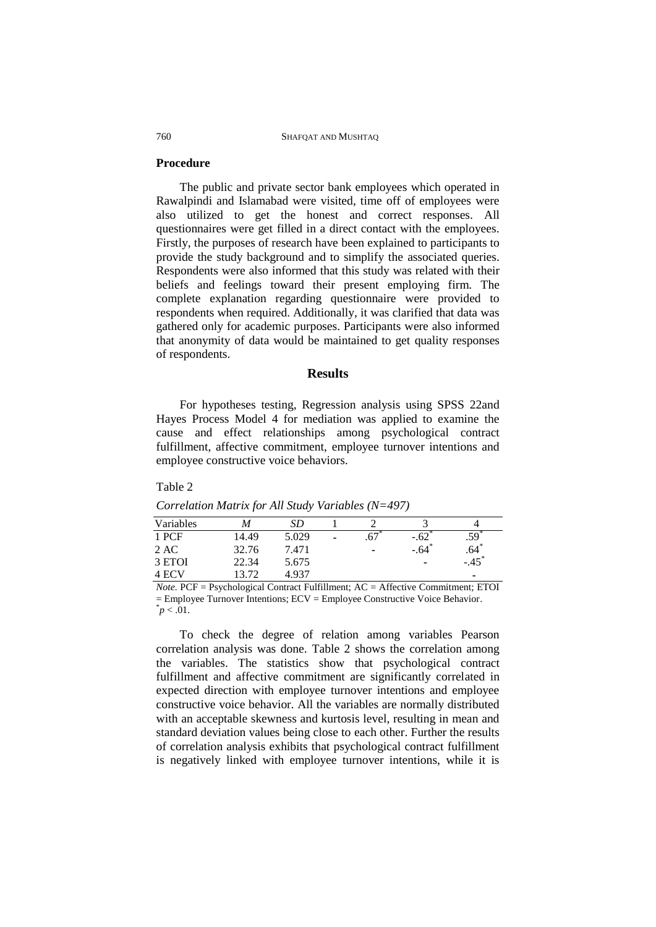### **Procedure**

The public and private sector bank employees which operated in Rawalpindi and Islamabad were visited, time off of employees were also utilized to get the honest and correct responses. All questionnaires were get filled in a direct contact with the employees. Firstly, the purposes of research have been explained to participants to provide the study background and to simplify the associated queries. Respondents were also informed that this study was related with their beliefs and feelings toward their present employing firm. The complete explanation regarding questionnaire were provided to respondents when required. Additionally, it was clarified that data was gathered only for academic purposes. Participants were also informed that anonymity of data would be maintained to get quality responses of respondents.

#### **Results**

For hypotheses testing, Regression analysis using SPSS 22and Hayes Process Model 4 for mediation was applied to examine the cause and effect relationships among psychological contract fulfillment, affective commitment, employee turnover intentions and employee constructive voice behaviors.

#### Table 2

*Correlation Matrix for All Study Variables (N=497)*

| Variables |       | SD    |   |           |        |        |  |
|-----------|-------|-------|---|-----------|--------|--------|--|
| 1 PCF     | 14.49 | 5.029 | ٠ | $\cdot$ 0 | $-.62$ | .59    |  |
| 2 AC      | 32.76 | 7.471 |   |           | $-.64$ | .64    |  |
| 3 ETOI    | 22.34 | 5.675 |   |           | ۰      | $-.45$ |  |
| 4 ECV     | 13 72 | 4.937 |   |           |        |        |  |
|           |       |       |   |           |        |        |  |

*Note.* PCF = Psychological Contract Fulfillment; AC = Affective Commitment; ETOI = Employee Turnover Intentions; ECV = Employee Constructive Voice Behavior.  $p < .01$ .

To check the degree of relation among variables Pearson correlation analysis was done. Table 2 shows the correlation among the variables. The statistics show that psychological contract fulfillment and affective commitment are significantly correlated in expected direction with employee turnover intentions and employee constructive voice behavior. All the variables are normally distributed with an acceptable skewness and kurtosis level, resulting in mean and standard deviation values being close to each other. Further the results of correlation analysis exhibits that psychological contract fulfillment is negatively linked with employee turnover intentions, while it is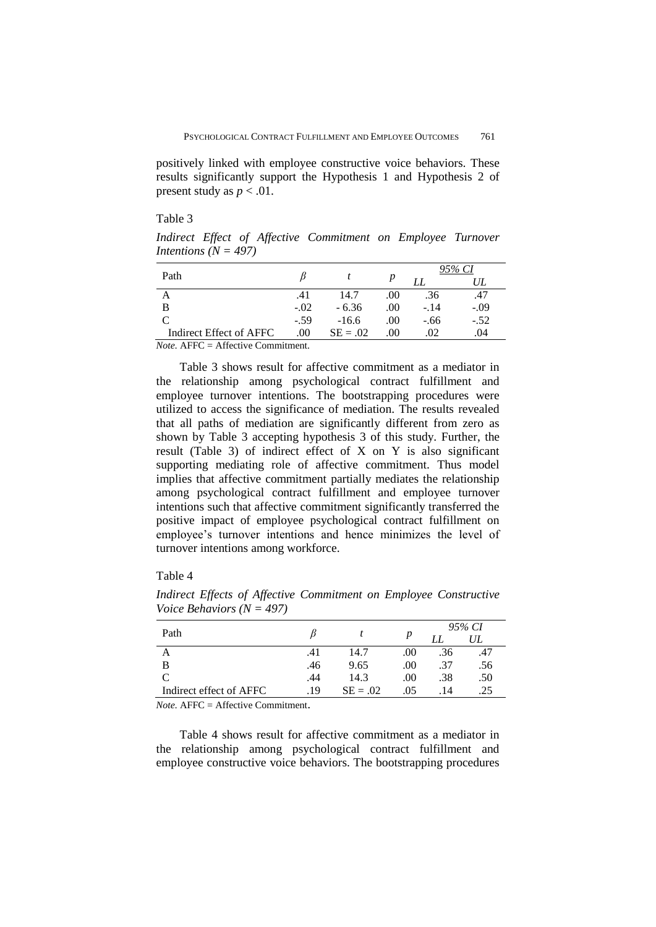positively linked with employee constructive voice behaviors. These results significantly support the Hypothesis 1 and Hypothesis 2 of present study as  $p < .01$ .

### Table 3

*Indirect Effect of Affective Commitment on Employee Turnover Intentions (N = 497)*

|        | 14.7       | .00 | .36    |        |
|--------|------------|-----|--------|--------|
| $-.02$ | - 6.36     | .00 | $-.14$ | $-.09$ |
| $-.59$ | $-16.6$    | .00 | $-.66$ | $-.52$ |
| .00    | $SE = .02$ | .00 | 02     | .04    |
|        |            |     |        |        |

*Note.* AFFC = Affective Commitment.

Table 3 shows result for affective commitment as a mediator in the relationship among psychological contract fulfillment and employee turnover intentions. The bootstrapping procedures were utilized to access the significance of mediation. The results revealed that all paths of mediation are significantly different from zero as shown by Table 3 accepting hypothesis 3 of this study. Further, the result (Table 3) of indirect effect of X on Y is also significant supporting mediating role of affective commitment. Thus model implies that affective commitment partially mediates the relationship among psychological contract fulfillment and employee turnover intentions such that affective commitment significantly transferred the positive impact of employee psychological contract fulfillment on employee's turnover intentions and hence minimizes the level of turnover intentions among workforce.

# Table 4

|                         |     |            |      | 95% CI |     |
|-------------------------|-----|------------|------|--------|-----|
| Path                    |     |            |      |        |     |
|                         | .41 | 14.7       | .00  | .36    |     |
| B                       | .46 | 9.65       | .00  | .37    | .56 |
|                         | .44 | 14.3       | .00. | .38    | .50 |
| Indirect effect of AFFC | .19 | $SE = .02$ | 05   | 14     |     |

*Indirect Effects of Affective Commitment on Employee Constructive Voice Behaviors (N = 497)*

*Note.* AFFC = Affective Commitment.

Table 4 shows result for affective commitment as a mediator in the relationship among psychological contract fulfillment and employee constructive voice behaviors. The bootstrapping procedures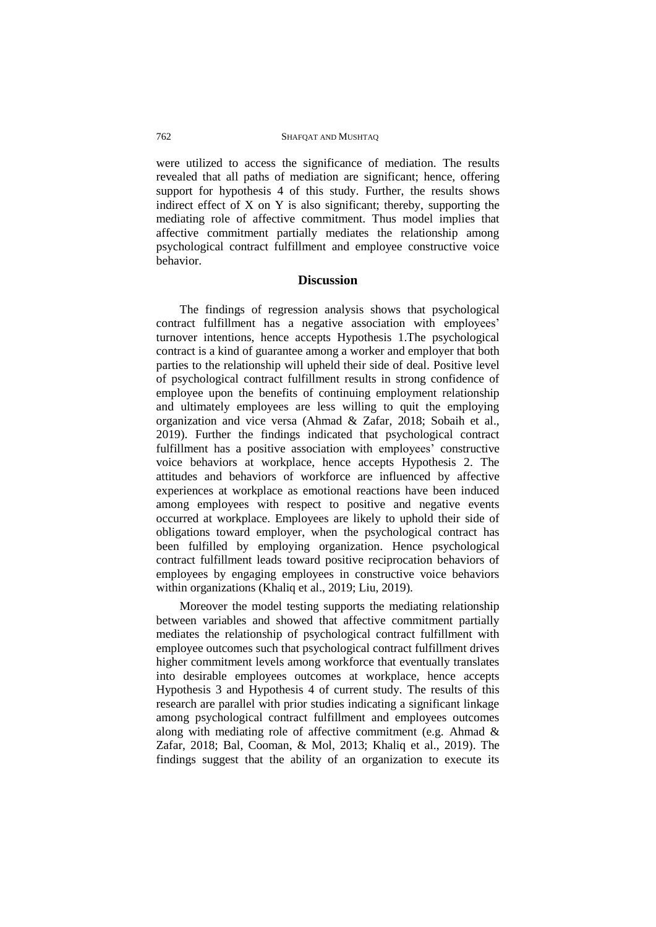were utilized to access the significance of mediation. The results revealed that all paths of mediation are significant; hence, offering support for hypothesis 4 of this study. Further, the results shows indirect effect of X on Y is also significant; thereby, supporting the mediating role of affective commitment. Thus model implies that affective commitment partially mediates the relationship among psychological contract fulfillment and employee constructive voice behavior.

# **Discussion**

The findings of regression analysis shows that psychological contract fulfillment has a negative association with employees' turnover intentions, hence accepts Hypothesis 1.The psychological contract is a kind of guarantee among a worker and employer that both parties to the relationship will upheld their side of deal. Positive level of psychological contract fulfillment results in strong confidence of employee upon the benefits of continuing employment relationship and ultimately employees are less willing to quit the employing organization and vice versa (Ahmad & Zafar, 2018; Sobaih et al., 2019). Further the findings indicated that psychological contract fulfillment has a positive association with employees' constructive voice behaviors at workplace, hence accepts Hypothesis 2. The attitudes and behaviors of workforce are influenced by affective experiences at workplace as emotional reactions have been induced among employees with respect to positive and negative events occurred at workplace. Employees are likely to uphold their side of obligations toward employer, when the psychological contract has been fulfilled by employing organization. Hence psychological contract fulfillment leads toward positive reciprocation behaviors of employees by engaging employees in constructive voice behaviors within organizations (Khaliq et al., 2019; Liu, 2019).

Moreover the model testing supports the mediating relationship between variables and showed that affective commitment partially mediates the relationship of psychological contract fulfillment with employee outcomes such that psychological contract fulfillment drives higher commitment levels among workforce that eventually translates into desirable employees outcomes at workplace, hence accepts Hypothesis 3 and Hypothesis 4 of current study. The results of this research are parallel with prior studies indicating a significant linkage among psychological contract fulfillment and employees outcomes along with mediating role of affective commitment (e.g. Ahmad & Zafar, 2018; Bal, Cooman, & Mol, 2013; Khaliq et al., 2019). The findings suggest that the ability of an organization to execute its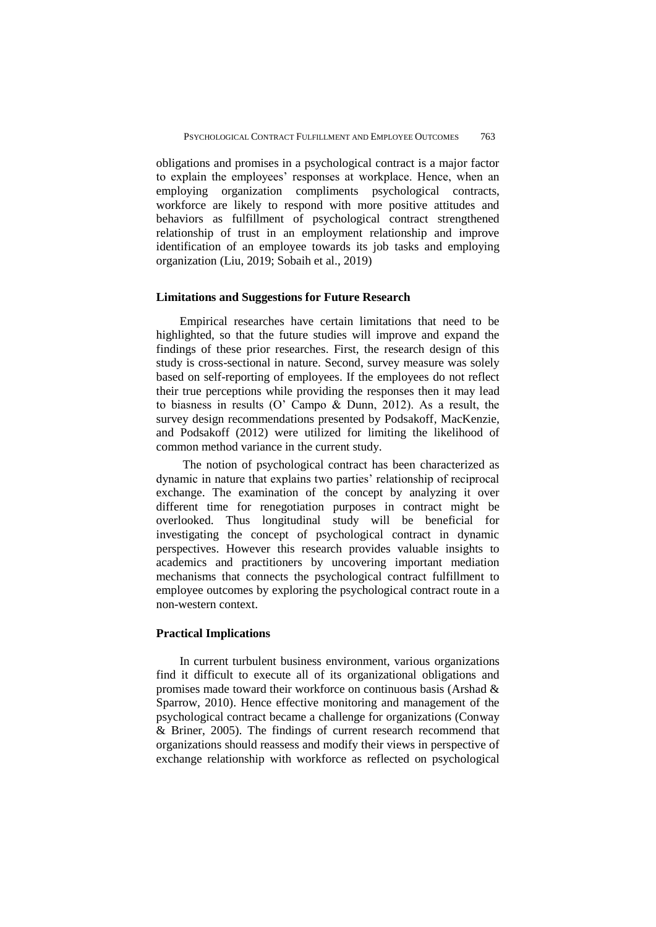obligations and promises in a psychological contract is a major factor to explain the employees' responses at workplace. Hence, when an employing organization compliments psychological contracts, workforce are likely to respond with more positive attitudes and behaviors as fulfillment of psychological contract strengthened relationship of trust in an employment relationship and improve identification of an employee towards its job tasks and employing organization (Liu, 2019; Sobaih et al., 2019)

# **Limitations and Suggestions for Future Research**

Empirical researches have certain limitations that need to be highlighted, so that the future studies will improve and expand the findings of these prior researches. First, the research design of this study is cross-sectional in nature. Second, survey measure was solely based on self-reporting of employees. If the employees do not reflect their true perceptions while providing the responses then it may lead to biasness in results (O' Campo & Dunn, 2012). As a result, the survey design recommendations presented by Podsakoff, MacKenzie, and Podsakoff (2012) were utilized for limiting the likelihood of common method variance in the current study.

The notion of psychological contract has been characterized as dynamic in nature that explains two parties' relationship of reciprocal exchange. The examination of the concept by analyzing it over different time for renegotiation purposes in contract might be overlooked. Thus longitudinal study will be beneficial for investigating the concept of psychological contract in dynamic perspectives. However this research provides valuable insights to academics and practitioners by uncovering important mediation mechanisms that connects the psychological contract fulfillment to employee outcomes by exploring the psychological contract route in a non-western context.

### **Practical Implications**

In current turbulent business environment, various organizations find it difficult to execute all of its organizational obligations and promises made toward their workforce on continuous basis (Arshad & Sparrow, 2010). Hence effective monitoring and management of the psychological contract became a challenge for organizations (Conway & Briner, 2005). The findings of current research recommend that organizations should reassess and modify their views in perspective of exchange relationship with workforce as reflected on psychological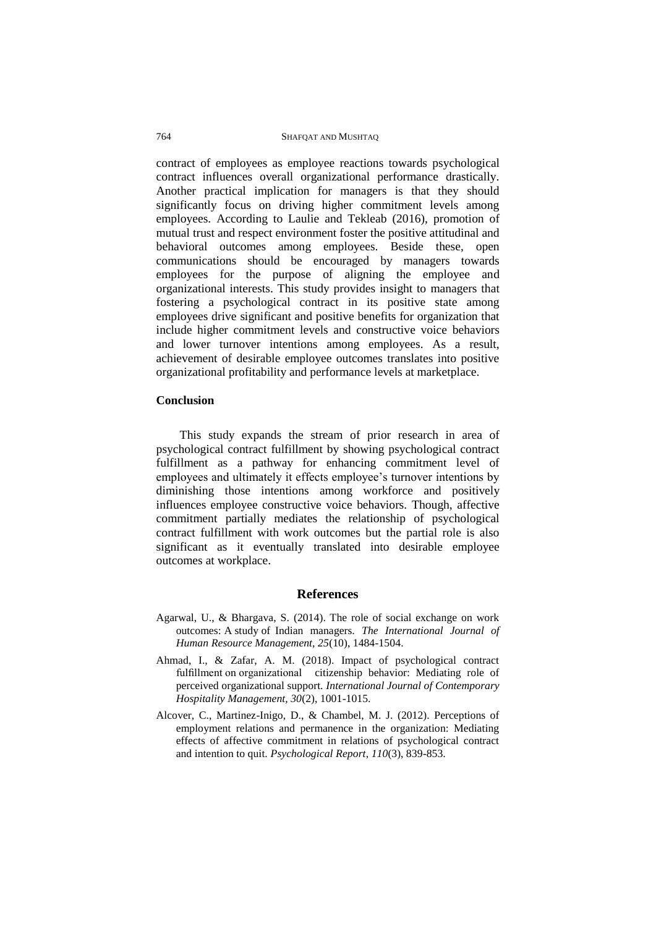contract of employees as employee reactions towards psychological contract influences overall organizational performance drastically. Another practical implication for managers is that they should significantly focus on driving higher commitment levels among employees. According to Laulie and Tekleab (2016), promotion of mutual trust and respect environment foster the positive attitudinal and behavioral outcomes among employees. Beside these, open communications should be encouraged by managers towards employees for the purpose of aligning the employee and organizational interests. This study provides insight to managers that fostering a psychological contract in its positive state among employees drive significant and positive benefits for organization that include higher commitment levels and constructive voice behaviors and lower turnover intentions among employees. As a result, achievement of desirable employee outcomes translates into positive organizational profitability and performance levels at marketplace.

### **Conclusion**

This study expands the stream of prior research in area of psychological contract fulfillment by showing psychological contract fulfillment as a pathway for enhancing commitment level of employees and ultimately it effects employee's turnover intentions by diminishing those intentions among workforce and positively influences employee constructive voice behaviors. Though, affective commitment partially mediates the relationship of psychological contract fulfillment with work outcomes but the partial role is also significant as it eventually translated into desirable employee outcomes at workplace.

# **References**

- Agarwal, U., & Bhargava, S. (2014). The role of social exchange on work outcomes: A study of Indian managers. *The International Journal of Human Resource Management, 25*(10), 1484-1504.
- Ahmad, I., & Zafar, A. M. (2018). Impact of psychological contract fulfillment on organizational citizenship behavior: Mediating role of perceived organizational support. *International Journal of Contemporary Hospitality Management, 30*(2), 1001-1015.
- Alcover, C., Martinez-Inigo, D., & Chambel, M. J. (2012). Perceptions of employment relations and permanence in the organization: Mediating effects of affective commitment in relations of psychological contract and intention to quit. *Psychological Report*, *110*(3), 839-853.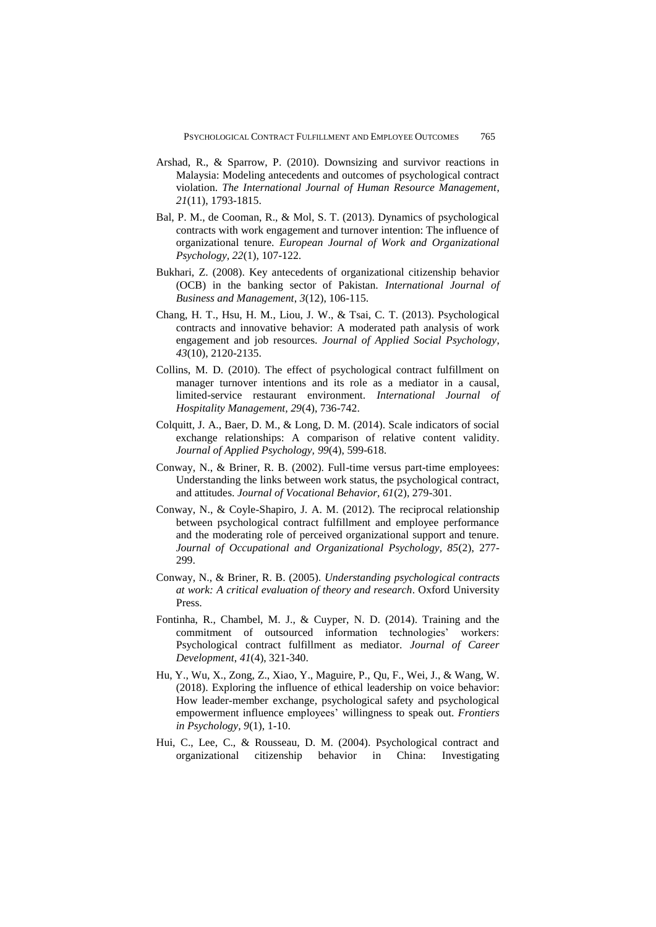- Arshad, R., & Sparrow, P. (2010). Downsizing and survivor reactions in Malaysia: Modeling antecedents and outcomes of psychological contract violation. *The International Journal of Human Resource Management*, *21*(11), 1793-1815.
- Bal, P. M., de Cooman, R., & Mol, S. T. (2013). Dynamics of psychological contracts with work engagement and turnover intention: The influence of organizational tenure. *European Journal of Work and Organizational Psychology, 22*(1), 107-122.
- Bukhari, Z. (2008). Key antecedents of organizational citizenship behavior (OCB) in the banking sector of Pakistan. *International Journal of Business and Management*, *3*(12), 106-115.
- Chang, H. T., Hsu, H. M., Liou, J. W., & Tsai, C. T. (2013). Psychological contracts and innovative behavior: A moderated path analysis of work engagement and job resources. *Journal of Applied Social Psychology*, *43*(10), 2120-2135.
- Collins, M. D. (2010). The effect of psychological contract fulfillment on manager turnover intentions and its role as a mediator in a causal, limited-service restaurant environment. *International Journal of Hospitality Management, 29*(4), 736-742.
- Colquitt, J. A., Baer, D. M., & Long, D. M. (2014). Scale indicators of social exchange relationships: A comparison of relative content validity. *Journal of Applied Psychology, 99*(4), 599-618.
- Conway, N., & Briner, R. B. (2002). Full-time versus part-time employees: Understanding the links between work status, the psychological contract, and attitudes. *Journal of Vocational Behavior, 61*(2), 279-301.
- Conway, N., & Coyle-Shapiro, J. A. M. (2012). The reciprocal relationship between psychological contract fulfillment and employee performance and the moderating role of perceived organizational support and tenure. *Journal of Occupational and Organizational Psychology, 85*(2), 277- 299.
- Conway, N., & Briner, R. B. (2005). *Understanding psychological contracts at work: A critical evaluation of theory and research*. Oxford University Press.
- Fontinha, R., Chambel, M. J., & Cuyper, N. D. (2014). Training and the commitment of outsourced information technologies' workers: Psychological contract fulfillment as mediator. *Journal of Career Development*, *41*(4), 321-340.
- Hu, Y., Wu, X., Zong, Z., Xiao, Y., Maguire, P., [Qu, F.,](https://loop.frontiersin.org/people/244787/overview) Wei, J., & Wang, W. (2018). [Exploring](https://loop.frontiersin.org/publications/51907956) the influence of ethical leadership on voice behavior: How [leader-member](https://loop.frontiersin.org/publications/51907956) exchange, psychological safety and psychological [empowerment](https://loop.frontiersin.org/publications/51907956) influence employees' willingness to speak out. *Frontiers in Psychology, 9*(1), 1-10.
- Hui, C., Lee, C., & Rousseau, D. M. (2004). Psychological contract and organizational citizenship behavior in China: Investigating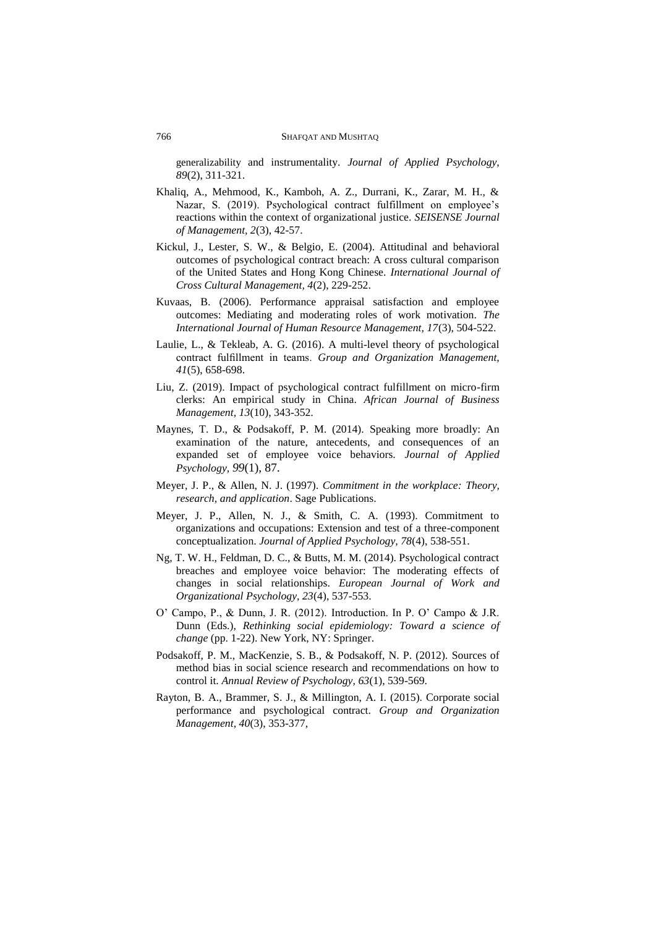generalizability and instrumentality. *Journal of Applied Psychology, 89*(2), 311-321.

- Khaliq, A., Mehmood, K., Kamboh, A. Z., Durrani, K., Zarar, M. H., & Nazar, S. (2019). Psychological contract fulfillment on employee's reactions within the context of organizational justice. *SEISENSE Journal of Management, 2*(3), 42-57.
- Kickul, J., Lester, S. W., & Belgio, E. (2004). Attitudinal and behavioral outcomes of psychological contract breach: A cross cultural comparison of the United States and Hong Kong Chinese. *International Journal of Cross Cultural Management, 4*(2), 229-252.
- Kuvaas, B. (2006). Performance appraisal satisfaction and employee outcomes: Mediating and moderating roles of work motivation. *The International Journal of Human Resource Management, 17*(3), 504-522.
- Laulie, L., & Tekleab, A. G. (2016). A multi-level theory of psychological contract fulfillment in teams. *Group and Organization Management, 41*(5), 658-698.
- Liu, Z. (2019). Impact of psychological contract fulfillment on micro-firm clerks: An empirical study in China. *African Journal of Business Management, 13*(10), 343-352.
- Maynes, T. D., & Podsakoff, P. M. (2014). Speaking more broadly: An examination of the nature, antecedents, and consequences of an expanded set of employee voice behaviors. *Journal of Applied Psychology, 99*(1), 87.
- Meyer, J. P., & Allen, N. J. (1997). *Commitment in the workplace: Theory, research, and application*. Sage Publications.
- Meyer, J. P., Allen, N. J., & Smith, C. A. (1993). Commitment to organizations and occupations: Extension and test of a three-component conceptualization. *Journal of Applied Psychology, 78*(4), 538-551.
- Ng, T. W. H., Feldman, D. C., & Butts, M. M. (2014). Psychological contract breaches and employee voice behavior: The moderating effects of changes in social relationships. *European Journal of Work and Organizational Psychology, 23*(4), 537-553.
- O' Campo, P., & Dunn, J. R. (2012). Introduction. In P. O' Campo & J.R. Dunn (Eds.), *Rethinking social epidemiology: Toward a science of change* (pp. 1-22). New York, NY: Springer.
- Podsakoff, P. M., MacKenzie, S. B., & Podsakoff, N. P. (2012). Sources of method bias in social science research and recommendations on how to control it. *Annual Review of Psychology, 63*(1), 539-569.
- Rayton, B. A., Brammer, S. J., & Millington, A. I. (2015). Corporate social performance and psychological contract. *Group and Organization Management, 40*(3), 353-377,